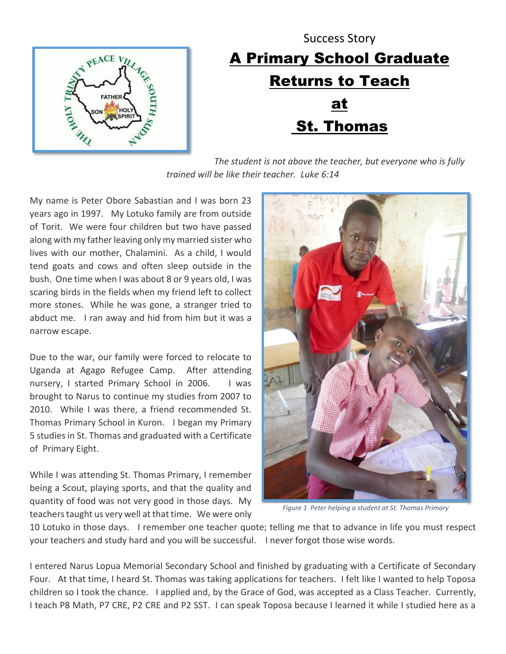

## Success Story A Primary School Graduate Returns to Teach at St. Thomas

*The student is not above the teacher, but everyone who is fully trained will be like their teacher. Luke 6:14*

My name is Peter Obore Sabastian and I was born 23 years ago in 1997. My Lotuko family are from outside of Torit. We were four children but two have passed along with my father leaving only my married sister who lives with our mother, Chalamini. As a child, I would tend goats and cows and often sleep outside in the bush. One time when I was about 8 or 9 years old, I was scaring birds in the fields when my friend left to collect more stones. While he was gone, a stranger tried to abduct me. I ran away and hid from him but it was a narrow escape.

Due to the war, our family were forced to relocate to Uganda at Agago Refugee Camp. After attending nursery, I started Primary School in 2006. I was brought to Narus to continue my studies from 2007 to 2010. While I was there, a friend recommended St. Thomas Primary School in Kuron. I began my Primary 5 studies in St. Thomas and graduated with a Certificate of Primary Eight.

While I was attending St. Thomas Primary, I remember being a Scout, playing sports, and that the quality and quantity of food was not very good in those days. My teachers taught us very well at that time. We were only



*Figure 1 Peter helping a student at St. Thomas Primary*

10 Lotuko in those days. I remember one teacher quote; telling me that to advance in life you must respect your teachers and study hard and you will be successful. I never forgot those wise words.

I entered Narus Lopua Memorial Secondary School and finished by graduating with a Certificate of Secondary Four. At that time, I heard St. Thomas was taking applications for teachers. I felt like I wanted to help Toposa children so I took the chance. I applied and, by the Grace of God, was accepted as a Class Teacher. Currently, I teach P8 Math, P7 CRE, P2 CRE and P2 SST. I can speak Toposa because I learned it while I studied here as a